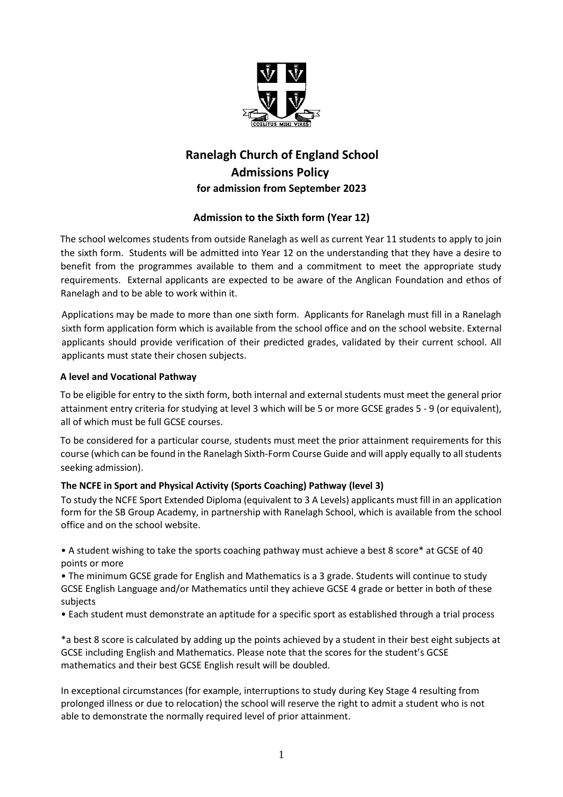

# **Ranelagh Church of England School Admissions Policy for admission from September 2023**

# **Admission to the Sixth form (Year 12)**

The school welcomes students from outside Ranelagh as well as current Year 11 students to apply to join the sixth form. Students will be admitted into Year 12 on the understanding that they have a desire to benefit from the programmes available to them and a commitment to meet the appropriate study requirements. External applicants are expected to be aware of the Anglican Foundation and ethos of Ranelagh and to be able to work within it.

Applications may be made to more than one sixth form. Applicants for Ranelagh must fill in a Ranelagh sixth form application form which is available from the school office and on the school website. External applicants should provide verification of their predicted grades, validated by their current school. All applicants must state their chosen subjects.

## **A level and Vocational Pathway**

To be eligible for entry to the sixth form, both internal and external students must meet the general prior attainment entry criteria for studying at level 3 which will be 5 or more GCSE grades 5 - 9 (or equivalent), all of which must be full GCSE courses.

To be considered for a particular course, students must meet the prior attainment requirements for this course (which can be found in the Ranelagh Sixth-Form Course Guide and will apply equally to all students seeking admission).

# **The NCFE in Sport and Physical Activity (Sports Coaching) Pathway (level 3)**

To study the NCFE Sport Extended Diploma (equivalent to 3 A Levels) applicants must fill in an application form for the SB Group Academy, in partnership with Ranelagh School, which is available from the school office and on the school website.

• A student wishing to take the sports coaching pathway must achieve a best 8 score\* at GCSE of 40 points or more

• The minimum GCSE grade for English and Mathematics is a 3 grade. Students will continue to study GCSE English Language and/or Mathematics until they achieve GCSE 4 grade or better in both of these subjects

• Each student must demonstrate an aptitude for a specific sport as established through a trial process

\*a best 8 score is calculated by adding up the points achieved by a student in their best eight subjects at GCSE including English and Mathematics. Please note that the scores for the student's GCSE mathematics and their best GCSE English result will be doubled.

In exceptional circumstances (for example, interruptions to study during Key Stage 4 resulting from prolonged illness or due to relocation) the school will reserve the right to admit a student who is not able to demonstrate the normally required level of prior attainment.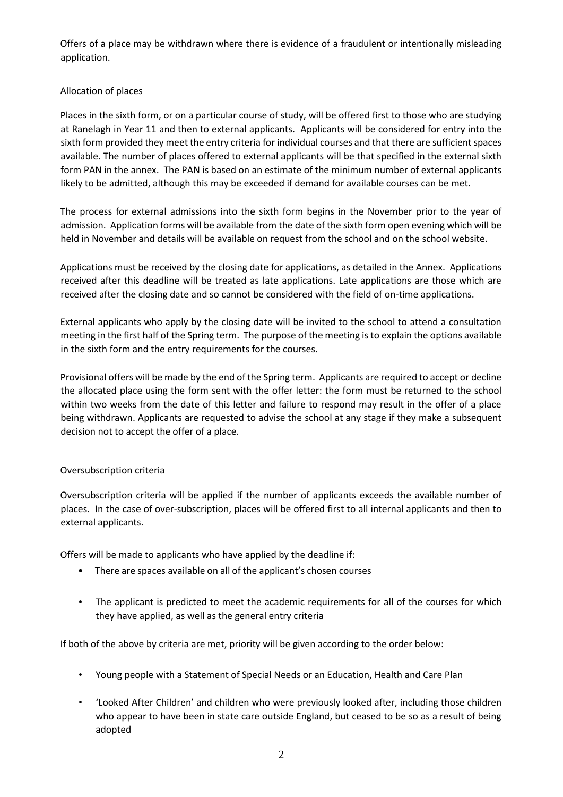Offers of a place may be withdrawn where there is evidence of a fraudulent or intentionally misleading application.

## Allocation of places

Places in the sixth form, or on a particular course of study, will be offered first to those who are studying at Ranelagh in Year 11 and then to external applicants. Applicants will be considered for entry into the sixth form provided they meet the entry criteria for individual courses and that there are sufficient spaces available. The number of places offered to external applicants will be that specified in the external sixth form PAN in the annex. The PAN is based on an estimate of the minimum number of external applicants likely to be admitted, although this may be exceeded if demand for available courses can be met.

The process for external admissions into the sixth form begins in the November prior to the year of admission. Application forms will be available from the date of the sixth form open evening which will be held in November and details will be available on request from the school and on the school website.

Applications must be received by the closing date for applications, as detailed in the Annex. Applications received after this deadline will be treated as late applications. Late applications are those which are received after the closing date and so cannot be considered with the field of on-time applications.

External applicants who apply by the closing date will be invited to the school to attend a consultation meeting in the first half of the Spring term. The purpose of the meeting is to explain the options available in the sixth form and the entry requirements for the courses.

Provisional offers will be made by the end of the Spring term. Applicants are required to accept or decline the allocated place using the form sent with the offer letter: the form must be returned to the school within two weeks from the date of this letter and failure to respond may result in the offer of a place being withdrawn. Applicants are requested to advise the school at any stage if they make a subsequent decision not to accept the offer of a place.

#### Oversubscription criteria

Oversubscription criteria will be applied if the number of applicants exceeds the available number of places. In the case of over-subscription, places will be offered first to all internal applicants and then to external applicants.

Offers will be made to applicants who have applied by the deadline if:

- There are spaces available on all of the applicant's chosen courses
- The applicant is predicted to meet the academic requirements for all of the courses for which they have applied, as well as the general entry criteria

If both of the above by criteria are met, priority will be given according to the order below:

- Young people with a Statement of Special Needs or an Education, Health and Care Plan
- 'Looked After Children' and children who were previously looked after, including those children who appear to have been in state care outside England, but ceased to be so as a result of being adopted